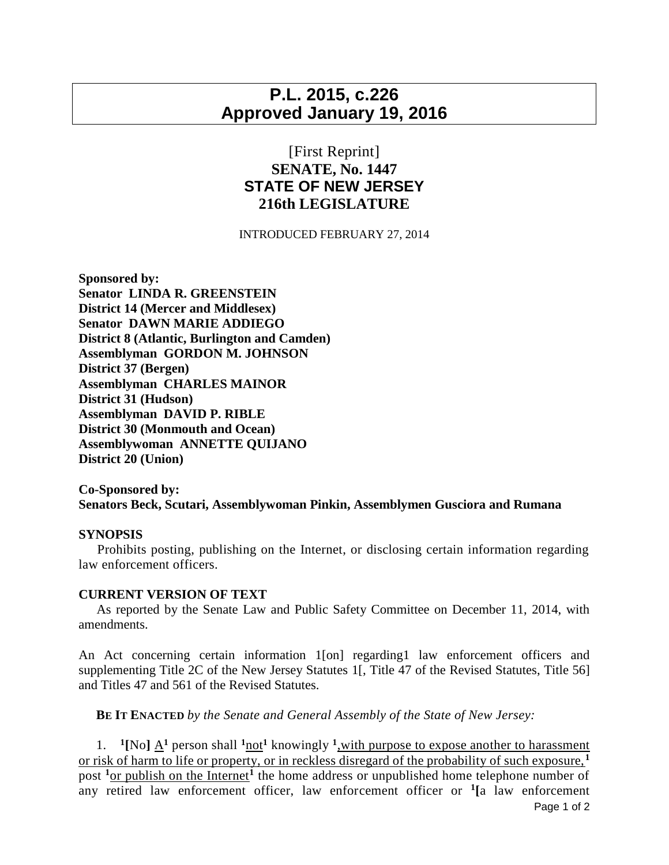## **P.L. 2015, c.226 Approved January 19, 2016**

## [First Reprint] **SENATE, No. 1447 STATE OF NEW JERSEY 216th LEGISLATURE**

INTRODUCED FEBRUARY 27, 2014

**Sponsored by: Senator LINDA R. GREENSTEIN District 14 (Mercer and Middlesex) Senator DAWN MARIE ADDIEGO District 8 (Atlantic, Burlington and Camden) Assemblyman GORDON M. JOHNSON District 37 (Bergen) Assemblyman CHARLES MAINOR District 31 (Hudson) Assemblyman DAVID P. RIBLE District 30 (Monmouth and Ocean) Assemblywoman ANNETTE QUIJANO District 20 (Union)**

**Co-Sponsored by: Senators Beck, Scutari, Assemblywoman Pinkin, Assemblymen Gusciora and Rumana**

## **SYNOPSIS**

 Prohibits posting, publishing on the Internet, or disclosing certain information regarding law enforcement officers.

## **CURRENT VERSION OF TEXT**

 As reported by the Senate Law and Public Safety Committee on December 11, 2014, with amendments.

An Act concerning certain information 1[on] regarding1 law enforcement officers and supplementing Title 2C of the New Jersey Statutes 1[, Title 47 of the Revised Statutes, Title 56] and Titles 47 and 561 of the Revised Statutes.

**BE IT ENACTED** *by the Senate and General Assembly of the State of New Jersey:*

1. <sup>1</sup>[No]  $\underline{A}^1$  person shall  $\frac{1 \text{ not}}{1}$  knowingly  $\frac{1}{2}$ , with purpose to expose another to harassment or risk of harm to life or property, or in reckless disregard of the probability of such exposure, **<sup>1</sup>** post <sup>1</sup><sub>or publish on the Internet<sup>1</sup> the home address or unpublished home telephone number of</sub> any retired law enforcement officer, law enforcement officer or **<sup>1</sup> [**a law enforcement

Page 1 of 2